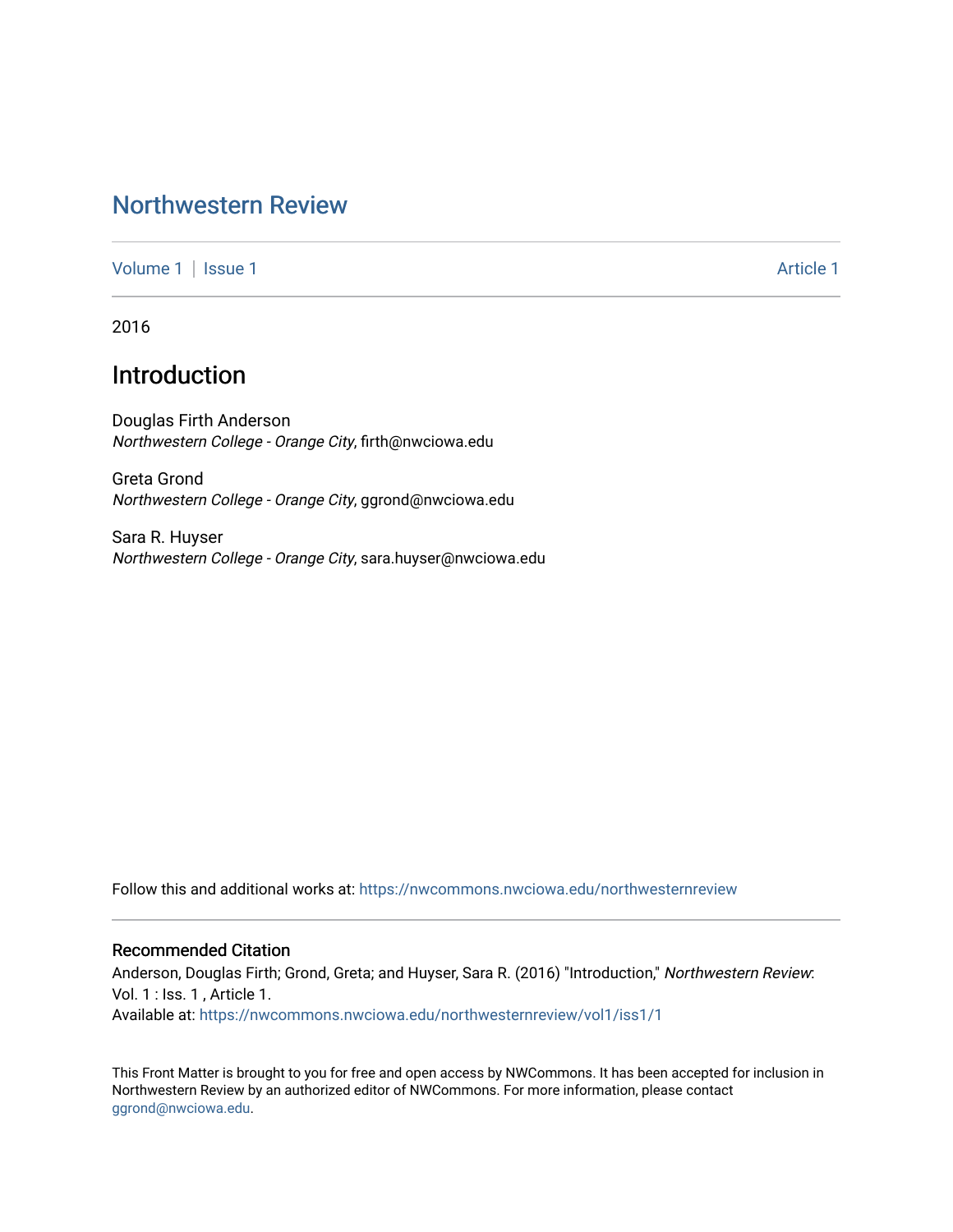## [Northwestern Review](https://nwcommons.nwciowa.edu/northwesternreview)

[Volume 1](https://nwcommons.nwciowa.edu/northwesternreview/vol1) | [Issue 1](https://nwcommons.nwciowa.edu/northwesternreview/vol1/iss1) Article 1

2016

# Introduction

Douglas Firth Anderson Northwestern College - Orange City, firth@nwciowa.edu

Greta Grond Northwestern College - Orange City, ggrond@nwciowa.edu

Sara R. Huyser Northwestern College - Orange City, sara.huyser@nwciowa.edu

Follow this and additional works at: [https://nwcommons.nwciowa.edu/northwesternreview](https://nwcommons.nwciowa.edu/northwesternreview?utm_source=nwcommons.nwciowa.edu%2Fnorthwesternreview%2Fvol1%2Fiss1%2F1&utm_medium=PDF&utm_campaign=PDFCoverPages) 

#### Recommended Citation

Anderson, Douglas Firth; Grond, Greta; and Huyser, Sara R. (2016) "Introduction," Northwestern Review: Vol. 1 : Iss. 1 , Article 1.

Available at: [https://nwcommons.nwciowa.edu/northwesternreview/vol1/iss1/1](https://nwcommons.nwciowa.edu/northwesternreview/vol1/iss1/1?utm_source=nwcommons.nwciowa.edu%2Fnorthwesternreview%2Fvol1%2Fiss1%2F1&utm_medium=PDF&utm_campaign=PDFCoverPages)

This Front Matter is brought to you for free and open access by NWCommons. It has been accepted for inclusion in Northwestern Review by an authorized editor of NWCommons. For more information, please contact [ggrond@nwciowa.edu.](mailto:ggrond@nwciowa.edu)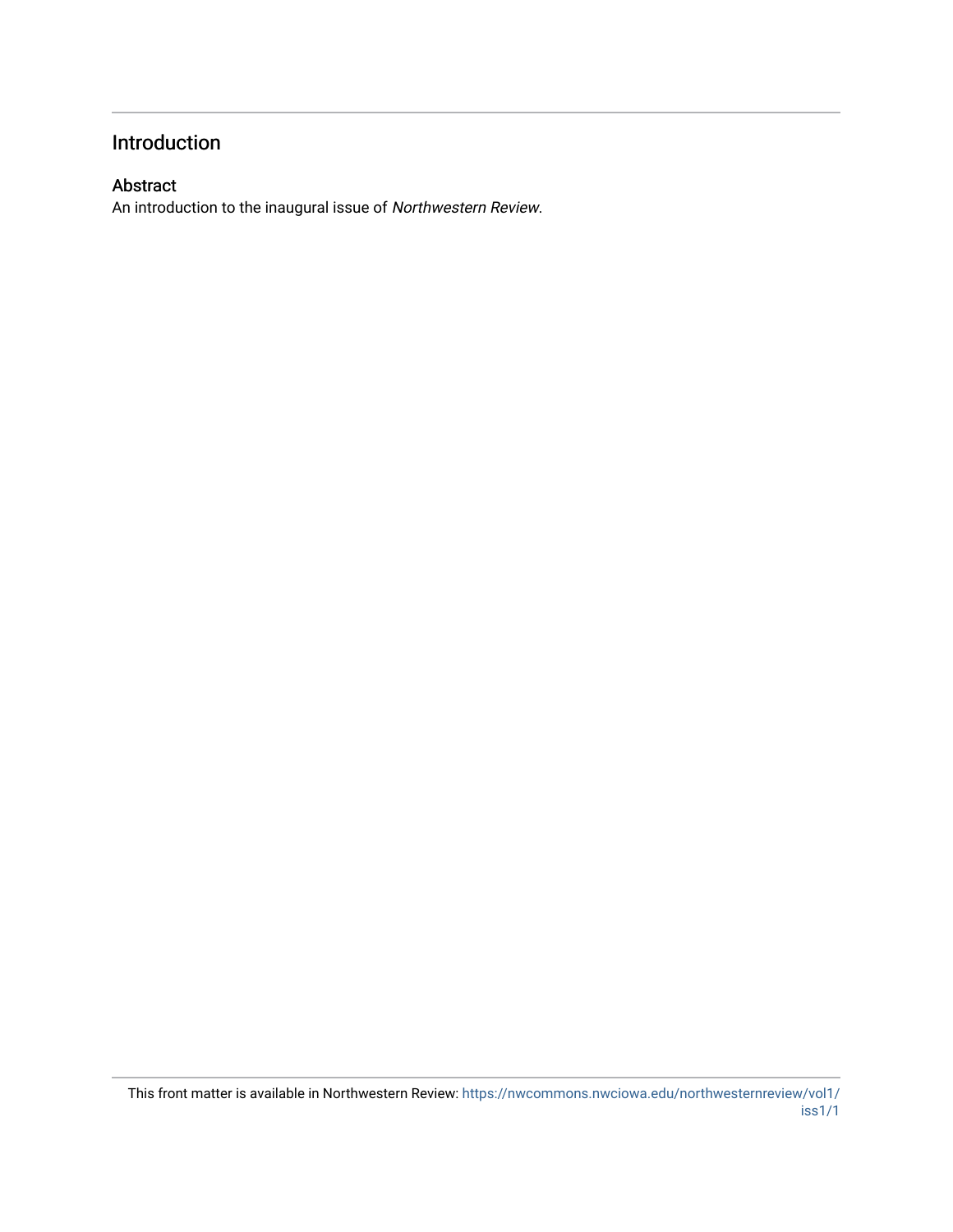### Introduction

### Abstract

An introduction to the inaugural issue of Northwestern Review.

This front matter is available in Northwestern Review: [https://nwcommons.nwciowa.edu/northwesternreview/vol1/](https://nwcommons.nwciowa.edu/northwesternreview/vol1/iss1/1) [iss1/1](https://nwcommons.nwciowa.edu/northwesternreview/vol1/iss1/1)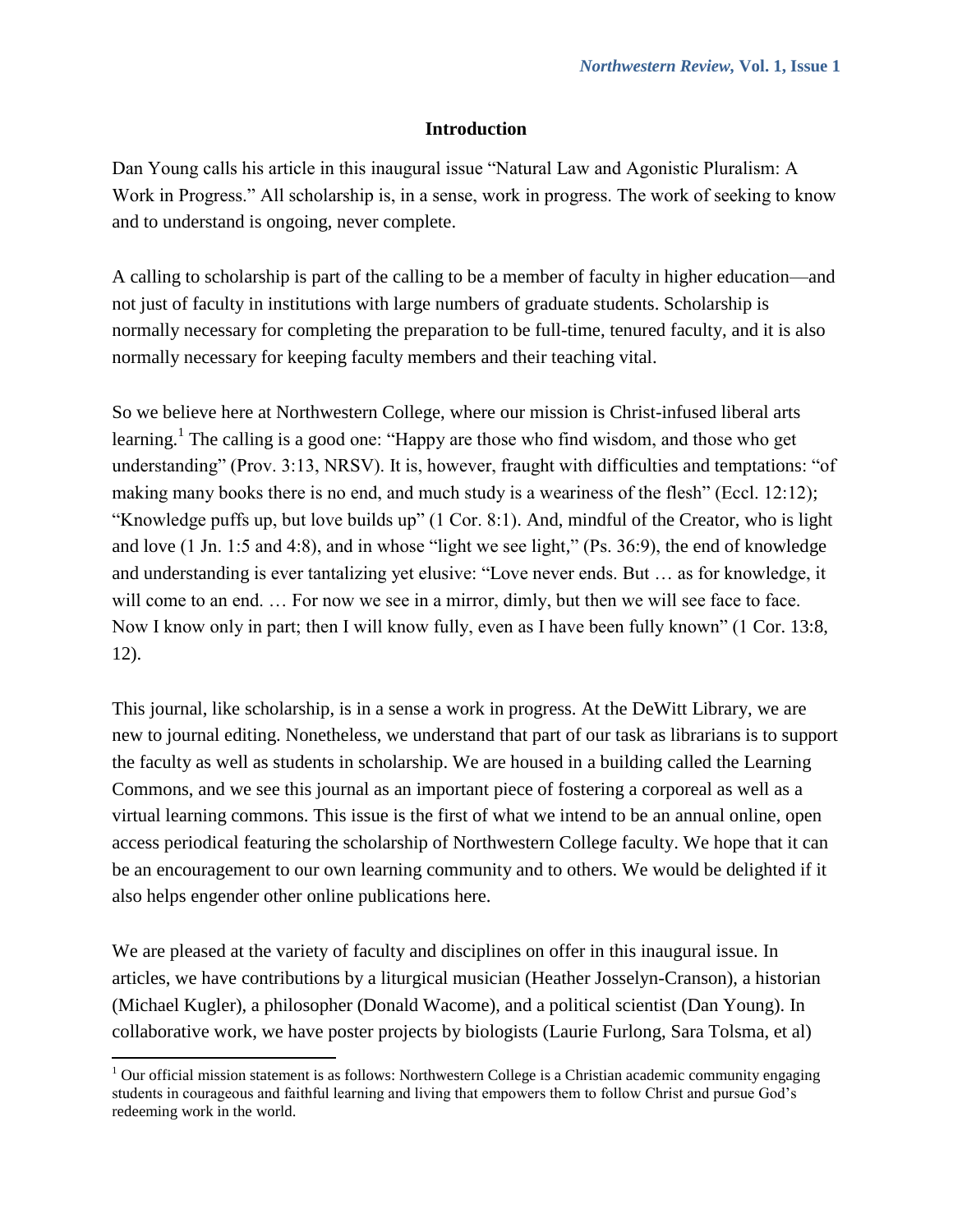### **Introduction**

Dan Young calls his article in this inaugural issue "Natural Law and Agonistic Pluralism: A Work in Progress." All scholarship is, in a sense, work in progress. The work of seeking to know and to understand is ongoing, never complete.

A calling to scholarship is part of the calling to be a member of faculty in higher education—and not just of faculty in institutions with large numbers of graduate students. Scholarship is normally necessary for completing the preparation to be full-time, tenured faculty, and it is also normally necessary for keeping faculty members and their teaching vital.

So we believe here at Northwestern College, where our mission is Christ-infused liberal arts learning.<sup>1</sup> The calling is a good one: "Happy are those who find wisdom, and those who get understanding" (Prov. 3:13, NRSV). It is, however, fraught with difficulties and temptations: "of making many books there is no end, and much study is a weariness of the flesh" (Eccl. 12:12); "Knowledge puffs up, but love builds up" (1 Cor. 8:1). And, mindful of the Creator, who is light and love (1 Jn. 1:5 and 4:8), and in whose "light we see light," (Ps. 36:9), the end of knowledge and understanding is ever tantalizing yet elusive: "Love never ends. But … as for knowledge, it will come to an end. ... For now we see in a mirror, dimly, but then we will see face to face. Now I know only in part; then I will know fully, even as I have been fully known" (1 Cor. 13:8, 12).

This journal, like scholarship, is in a sense a work in progress. At the DeWitt Library, we are new to journal editing. Nonetheless, we understand that part of our task as librarians is to support the faculty as well as students in scholarship. We are housed in a building called the Learning Commons, and we see this journal as an important piece of fostering a corporeal as well as a virtual learning commons. This issue is the first of what we intend to be an annual online, open access periodical featuring the scholarship of Northwestern College faculty. We hope that it can be an encouragement to our own learning community and to others. We would be delighted if it also helps engender other online publications here.

We are pleased at the variety of faculty and disciplines on offer in this inaugural issue. In articles, we have contributions by a liturgical musician (Heather Josselyn-Cranson), a historian (Michael Kugler), a philosopher (Donald Wacome), and a political scientist (Dan Young). In collaborative work, we have poster projects by biologists (Laurie Furlong, Sara Tolsma, et al)

 $\overline{\phantom{a}}$ 

<sup>&</sup>lt;sup>1</sup> Our official mission statement is as follows: Northwestern College is a Christian academic community engaging students in courageous and faithful learning and living that empowers them to follow Christ and pursue God's redeeming work in the world.